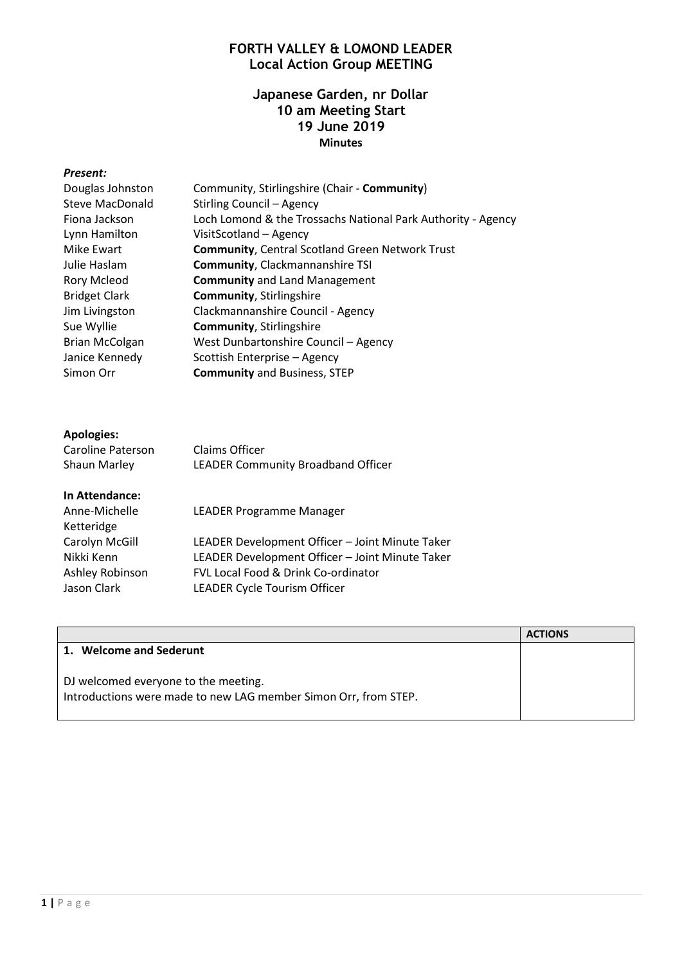# **FORTH VALLEY & LOMOND LEADER Local Action Group MEETING**

### **Japanese Garden, nr Dollar 10 am Meeting Start 19 June 2019 Minutes**

#### *Present:*

| Douglas Johnston      | Community, Stirlingshire (Chair - Community)                 |
|-----------------------|--------------------------------------------------------------|
| Steve MacDonald       | Stirling Council - Agency                                    |
| Fiona Jackson         | Loch Lomond & the Trossachs National Park Authority - Agency |
| Lynn Hamilton         | VisitScotland - Agency                                       |
| Mike Ewart            | <b>Community, Central Scotland Green Network Trust</b>       |
| Julie Haslam          | <b>Community, Clackmannanshire TSI</b>                       |
| <b>Rory Mcleod</b>    | <b>Community</b> and Land Management                         |
| <b>Bridget Clark</b>  | <b>Community, Stirlingshire</b>                              |
| Jim Livingston        | Clackmannanshire Council - Agency                            |
| Sue Wyllie            | <b>Community, Stirlingshire</b>                              |
| <b>Brian McColgan</b> | West Dunbartonshire Council - Agency                         |
| Janice Kennedy        | Scottish Enterprise - Agency                                 |
| Simon Orr             | <b>Community and Business, STEP</b>                          |
|                       |                                                              |
|                       |                                                              |

### **Apologies:**

| Caroline Paterson | Claims Officer                     |
|-------------------|------------------------------------|
| Shaun Marley      | LEADER Community Broadband Officer |

#### **In Attendance:**

| Anne-Michelle<br>Ketteridge | <b>LEADER Programme Manager</b>                 |
|-----------------------------|-------------------------------------------------|
| Carolyn McGill              | LEADER Development Officer - Joint Minute Taker |
| Nikki Kenn                  | LEADER Development Officer - Joint Minute Taker |
| Ashley Robinson             | FVL Local Food & Drink Co-ordinator             |
| Jason Clark                 | <b>LEADER Cycle Tourism Officer</b>             |
|                             |                                                 |

|                                                                                                         | <b>ACTIONS</b> |
|---------------------------------------------------------------------------------------------------------|----------------|
| 1. Welcome and Sederunt                                                                                 |                |
| DJ welcomed everyone to the meeting.<br>Introductions were made to new LAG member Simon Orr, from STEP. |                |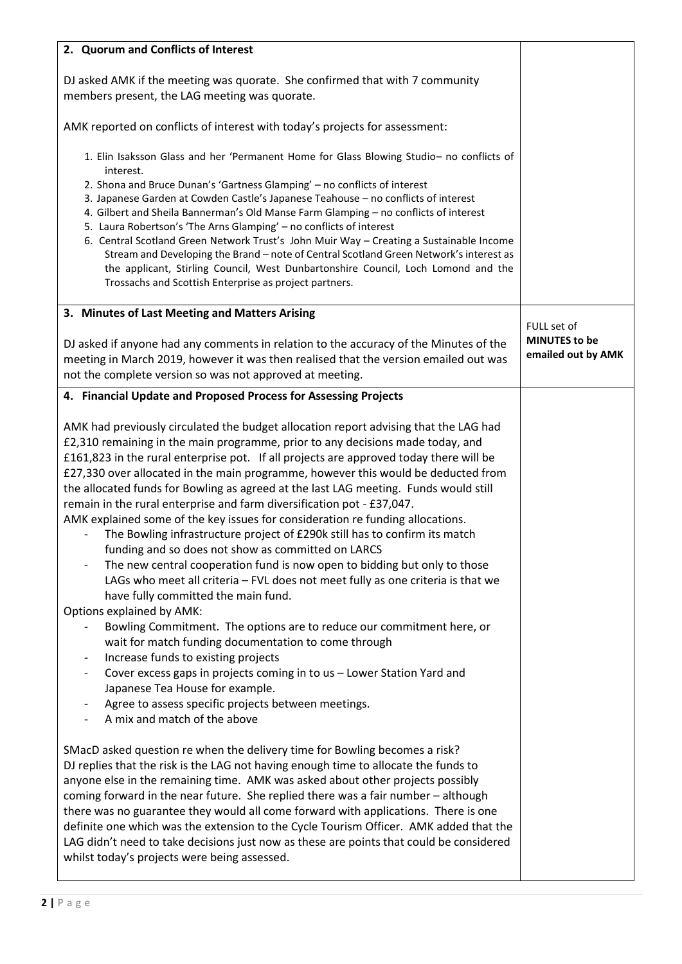| 2. Quorum and Conflicts of Interest                                                                                                                                                                                                                                                                                                                                                                                                                                                                                                                                                                                                                                                                                                                                                                                                                                                                                                                                                                                                                               |                                                           |
|-------------------------------------------------------------------------------------------------------------------------------------------------------------------------------------------------------------------------------------------------------------------------------------------------------------------------------------------------------------------------------------------------------------------------------------------------------------------------------------------------------------------------------------------------------------------------------------------------------------------------------------------------------------------------------------------------------------------------------------------------------------------------------------------------------------------------------------------------------------------------------------------------------------------------------------------------------------------------------------------------------------------------------------------------------------------|-----------------------------------------------------------|
| DJ asked AMK if the meeting was quorate. She confirmed that with 7 community<br>members present, the LAG meeting was quorate.                                                                                                                                                                                                                                                                                                                                                                                                                                                                                                                                                                                                                                                                                                                                                                                                                                                                                                                                     |                                                           |
| AMK reported on conflicts of interest with today's projects for assessment:                                                                                                                                                                                                                                                                                                                                                                                                                                                                                                                                                                                                                                                                                                                                                                                                                                                                                                                                                                                       |                                                           |
| 1. Elin Isaksson Glass and her 'Permanent Home for Glass Blowing Studio- no conflicts of<br>interest.<br>2. Shona and Bruce Dunan's 'Gartness Glamping' - no conflicts of interest<br>3. Japanese Garden at Cowden Castle's Japanese Teahouse - no conflicts of interest<br>4. Gilbert and Sheila Bannerman's Old Manse Farm Glamping - no conflicts of interest<br>5. Laura Robertson's 'The Arns Glamping' - no conflicts of interest<br>6. Central Scotland Green Network Trust's John Muir Way - Creating a Sustainable Income<br>Stream and Developing the Brand - note of Central Scotland Green Network's interest as<br>the applicant, Stirling Council, West Dunbartonshire Council, Loch Lomond and the<br>Trossachs and Scottish Enterprise as project partners.                                                                                                                                                                                                                                                                                       |                                                           |
| 3. Minutes of Last Meeting and Matters Arising<br>DJ asked if anyone had any comments in relation to the accuracy of the Minutes of the<br>meeting in March 2019, however it was then realised that the version emailed out was<br>not the complete version so was not approved at meeting.                                                                                                                                                                                                                                                                                                                                                                                                                                                                                                                                                                                                                                                                                                                                                                       | FULL set of<br><b>MINUTES to be</b><br>emailed out by AMK |
| 4. Financial Update and Proposed Process for Assessing Projects                                                                                                                                                                                                                                                                                                                                                                                                                                                                                                                                                                                                                                                                                                                                                                                                                                                                                                                                                                                                   |                                                           |
| AMK had previously circulated the budget allocation report advising that the LAG had<br>£2,310 remaining in the main programme, prior to any decisions made today, and<br>£161,823 in the rural enterprise pot. If all projects are approved today there will be<br>£27,330 over allocated in the main programme, however this would be deducted from<br>the allocated funds for Bowling as agreed at the last LAG meeting. Funds would still<br>remain in the rural enterprise and farm diversification pot - £37,047.<br>AMK explained some of the key issues for consideration re funding allocations.<br>The Bowling infrastructure project of £290k still has to confirm its match<br>funding and so does not show as committed on LARCS<br>The new central cooperation fund is now open to bidding but only to those<br>LAGs who meet all criteria - FVL does not meet fully as one criteria is that we<br>have fully committed the main fund.<br><b>Options explained by AMK:</b><br>Bowling Commitment. The options are to reduce our commitment here, or |                                                           |
| wait for match funding documentation to come through<br>Increase funds to existing projects<br>Cover excess gaps in projects coming in to us - Lower Station Yard and<br>Japanese Tea House for example.<br>Agree to assess specific projects between meetings.<br>A mix and match of the above                                                                                                                                                                                                                                                                                                                                                                                                                                                                                                                                                                                                                                                                                                                                                                   |                                                           |
| SMacD asked question re when the delivery time for Bowling becomes a risk?<br>DJ replies that the risk is the LAG not having enough time to allocate the funds to<br>anyone else in the remaining time. AMK was asked about other projects possibly<br>coming forward in the near future. She replied there was a fair number - although<br>there was no guarantee they would all come forward with applications. There is one<br>definite one which was the extension to the Cycle Tourism Officer. AMK added that the<br>LAG didn't need to take decisions just now as these are points that could be considered<br>whilst today's projects were being assessed.                                                                                                                                                                                                                                                                                                                                                                                                |                                                           |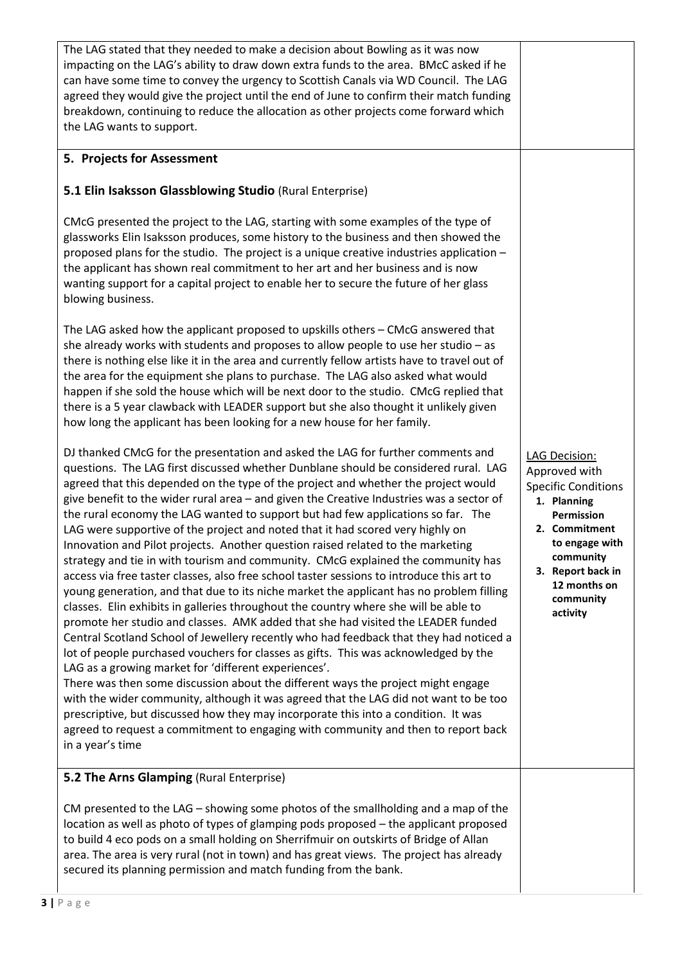| The LAG stated that they needed to make a decision about Bowling as it was now<br>impacting on the LAG's ability to draw down extra funds to the area. BMcC asked if he<br>can have some time to convey the urgency to Scottish Canals via WD Council. The LAG<br>agreed they would give the project until the end of June to confirm their match funding<br>breakdown, continuing to reduce the allocation as other projects come forward which<br>the LAG wants to support.                                                                                                                                                                                                                                                                                                                                                                                                                                                                                                                                                                                                                                                                                                                                                                                                                                                                                                                                                                                                                                                                                                                                                                                                                 |                                                                                                                                                                                                         |
|-----------------------------------------------------------------------------------------------------------------------------------------------------------------------------------------------------------------------------------------------------------------------------------------------------------------------------------------------------------------------------------------------------------------------------------------------------------------------------------------------------------------------------------------------------------------------------------------------------------------------------------------------------------------------------------------------------------------------------------------------------------------------------------------------------------------------------------------------------------------------------------------------------------------------------------------------------------------------------------------------------------------------------------------------------------------------------------------------------------------------------------------------------------------------------------------------------------------------------------------------------------------------------------------------------------------------------------------------------------------------------------------------------------------------------------------------------------------------------------------------------------------------------------------------------------------------------------------------------------------------------------------------------------------------------------------------|---------------------------------------------------------------------------------------------------------------------------------------------------------------------------------------------------------|
| 5. Projects for Assessment                                                                                                                                                                                                                                                                                                                                                                                                                                                                                                                                                                                                                                                                                                                                                                                                                                                                                                                                                                                                                                                                                                                                                                                                                                                                                                                                                                                                                                                                                                                                                                                                                                                                    |                                                                                                                                                                                                         |
| 5.1 Elin Isaksson Glassblowing Studio (Rural Enterprise)                                                                                                                                                                                                                                                                                                                                                                                                                                                                                                                                                                                                                                                                                                                                                                                                                                                                                                                                                                                                                                                                                                                                                                                                                                                                                                                                                                                                                                                                                                                                                                                                                                      |                                                                                                                                                                                                         |
| CMcG presented the project to the LAG, starting with some examples of the type of<br>glassworks Elin Isaksson produces, some history to the business and then showed the<br>proposed plans for the studio. The project is a unique creative industries application -<br>the applicant has shown real commitment to her art and her business and is now<br>wanting support for a capital project to enable her to secure the future of her glass<br>blowing business.                                                                                                                                                                                                                                                                                                                                                                                                                                                                                                                                                                                                                                                                                                                                                                                                                                                                                                                                                                                                                                                                                                                                                                                                                          |                                                                                                                                                                                                         |
| The LAG asked how the applicant proposed to upskills others - CMcG answered that<br>she already works with students and proposes to allow people to use her studio $-$ as<br>there is nothing else like it in the area and currently fellow artists have to travel out of<br>the area for the equipment she plans to purchase. The LAG also asked what would<br>happen if she sold the house which will be next door to the studio. CMcG replied that<br>there is a 5 year clawback with LEADER support but she also thought it unlikely given<br>how long the applicant has been looking for a new house for her family.                                                                                                                                                                                                                                                                                                                                                                                                                                                                                                                                                                                                                                                                                                                                                                                                                                                                                                                                                                                                                                                                     |                                                                                                                                                                                                         |
| DJ thanked CMcG for the presentation and asked the LAG for further comments and<br>questions. The LAG first discussed whether Dunblane should be considered rural. LAG<br>agreed that this depended on the type of the project and whether the project would<br>give benefit to the wider rural area - and given the Creative Industries was a sector of<br>the rural economy the LAG wanted to support but had few applications so far. The<br>LAG were supportive of the project and noted that it had scored very highly on<br>Innovation and Pilot projects. Another question raised related to the marketing<br>strategy and tie in with tourism and community. CMcG explained the community has<br>access via free taster classes, also free school taster sessions to introduce this art to<br>young generation, and that due to its niche market the applicant has no problem filling<br>classes. Elin exhibits in galleries throughout the country where she will be able to<br>promote her studio and classes. AMK added that she had visited the LEADER funded<br>Central Scotland School of Jewellery recently who had feedback that they had noticed a<br>lot of people purchased vouchers for classes as gifts. This was acknowledged by the<br>LAG as a growing market for 'different experiences'.<br>There was then some discussion about the different ways the project might engage<br>with the wider community, although it was agreed that the LAG did not want to be too<br>prescriptive, but discussed how they may incorporate this into a condition. It was<br>agreed to request a commitment to engaging with community and then to report back<br>in a year's time | LAG Decision:<br>Approved with<br><b>Specific Conditions</b><br>1. Planning<br>Permission<br>2. Commitment<br>to engage with<br>community<br>3. Report back in<br>12 months on<br>community<br>activity |
| 5.2 The Arns Glamping (Rural Enterprise)                                                                                                                                                                                                                                                                                                                                                                                                                                                                                                                                                                                                                                                                                                                                                                                                                                                                                                                                                                                                                                                                                                                                                                                                                                                                                                                                                                                                                                                                                                                                                                                                                                                      |                                                                                                                                                                                                         |
| CM presented to the LAG - showing some photos of the smallholding and a map of the<br>location as well as photo of types of glamping pods proposed - the applicant proposed<br>to build 4 eco pods on a small holding on Sherrifmuir on outskirts of Bridge of Allan<br>area. The area is very rural (not in town) and has great views. The project has already<br>secured its planning permission and match funding from the bank.                                                                                                                                                                                                                                                                                                                                                                                                                                                                                                                                                                                                                                                                                                                                                                                                                                                                                                                                                                                                                                                                                                                                                                                                                                                           |                                                                                                                                                                                                         |

 $\overline{\phantom{a}}$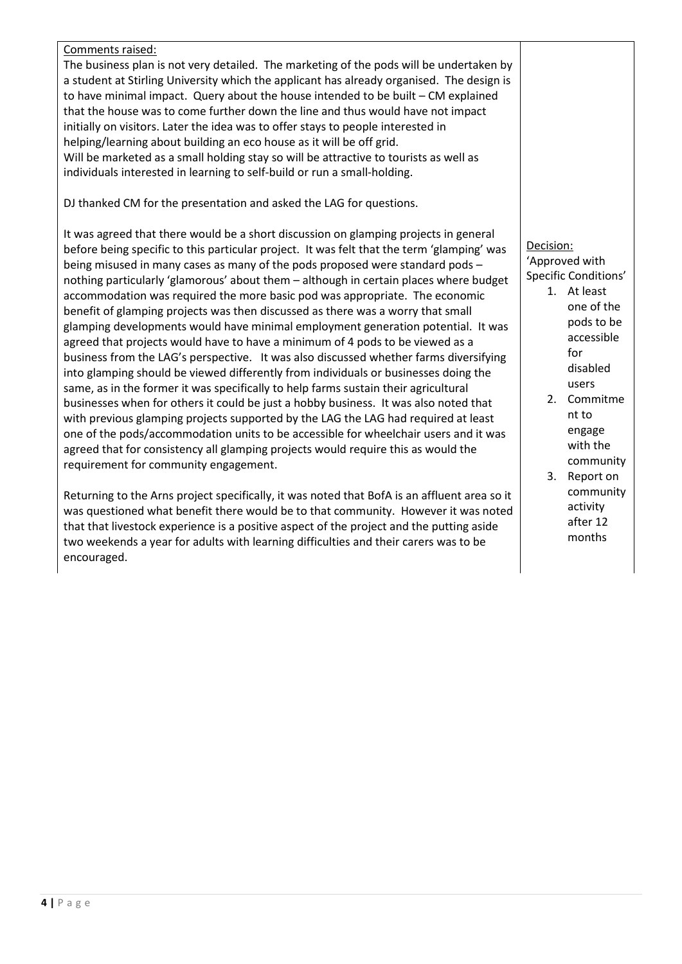| Comments raised:                                                                           |             |
|--------------------------------------------------------------------------------------------|-------------|
| The business plan is not very detailed. The marketing of the pods will be undertaken by    |             |
| a student at Stirling University which the applicant has already organised. The design is  |             |
| to have minimal impact. Query about the house intended to be built $-$ CM explained        |             |
| that the house was to come further down the line and thus would have not impact            |             |
| initially on visitors. Later the idea was to offer stays to people interested in           |             |
| helping/learning about building an eco house as it will be off grid.                       |             |
| Will be marketed as a small holding stay so will be attractive to tourists as well as      |             |
| individuals interested in learning to self-build or run a small-holding.                   |             |
| DJ thanked CM for the presentation and asked the LAG for questions.                        |             |
| It was agreed that there would be a short discussion on glamping projects in general       |             |
| before being specific to this particular project. It was felt that the term 'glamping' was | Decision:   |
| being misused in many cases as many of the pods proposed were standard pods -              | 'Approved   |
| nothing particularly 'glamorous' about them - although in certain places where budget      | Specific Co |
| accommodation was required the more basic pod was appropriate. The economic                | 1. At       |
| benefit of glamping projects was then discussed as there was a worry that small            | OI          |
| glamping developments would have minimal employment generation potential. It was           | po          |
| agreed that projects would have to have a minimum of 4 pods to be viewed as a              | a           |

eed that projects would have to have a minimum of 4 pods to be viewed as a business from the LAG's perspective. It was also discussed whether farms diversifying into glamping should be viewed differently from individuals or businesses doing the same, as in the former it was specifically to help farms sustain their agricultural businesses when for others it could be just a hobby business. It was also noted that with previous glamping projects supported by the LAG the LAG had required at least one of the pods/accommodation units to be accessible for wheelchair users and it was agreed that for consistency all glamping projects would require this as would the requirement for community engagement.

Returning to the Arns project specifically, it was noted that BofA is an affluent area so it was questioned what benefit there would be to that community. However it was noted that that livestock experience is a positive aspect of the project and the putting aside two weekends a year for adults with learning difficulties and their carers was to be encouraged.

d with onditions'

- t least ne of the pods to be accessible for disabled users
- 2. Commitme nt to engage with the community
- 3. Report on community activity after 12 months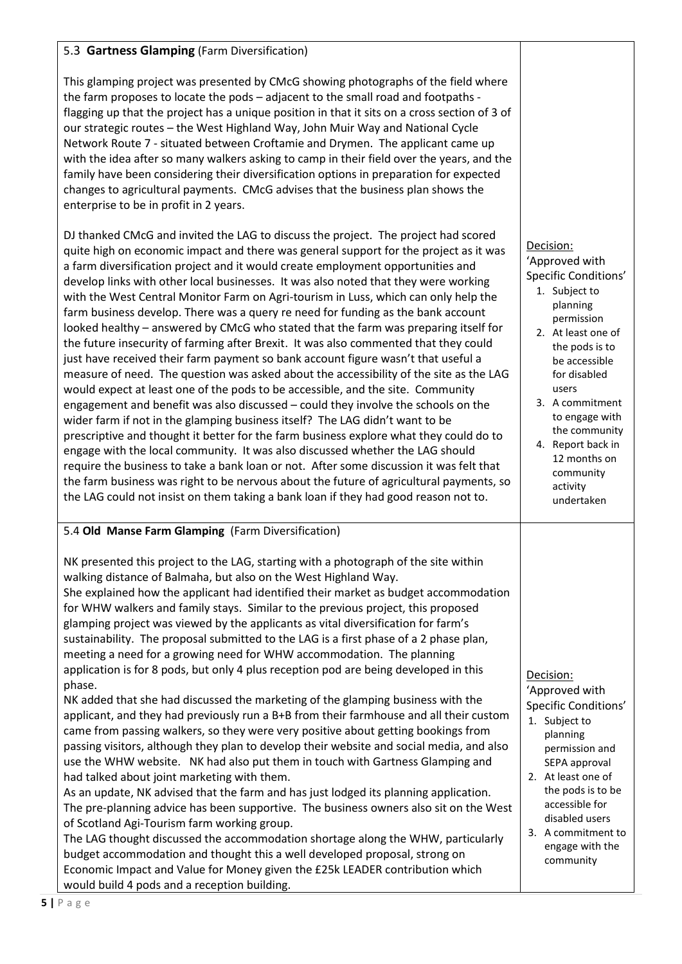## 5.3 **Gartness Glamping** (Farm Diversification)

This glamping project was presented by CMcG showing photographs of the field where the farm proposes to locate the pods – adjacent to the small road and footpaths flagging up that the project has a unique position in that it sits on a cross section of 3 of our strategic routes – the West Highland Way, John Muir Way and National Cycle Network Route 7 - situated between Croftamie and Drymen. The applicant came up with the idea after so many walkers asking to camp in their field over the years, and the family have been considering their diversification options in preparation for expected changes to agricultural payments. CMcG advises that the business plan shows the enterprise to be in profit in 2 years.

DJ thanked CMcG and invited the LAG to discuss the project. The project had scored quite high on economic impact and there was general support for the project as it was a farm diversification project and it would create employment opportunities and develop links with other local businesses. It was also noted that they were working with the West Central Monitor Farm on Agri-tourism in Luss, which can only help the farm business develop. There was a query re need for funding as the bank account looked healthy – answered by CMcG who stated that the farm was preparing itself for the future insecurity of farming after Brexit. It was also commented that they could just have received their farm payment so bank account figure wasn't that useful a measure of need. The question was asked about the accessibility of the site as the LAG would expect at least one of the pods to be accessible, and the site. Community engagement and benefit was also discussed – could they involve the schools on the wider farm if not in the glamping business itself? The LAG didn't want to be prescriptive and thought it better for the farm business explore what they could do to engage with the local community. It was also discussed whether the LAG should require the business to take a bank loan or not. After some discussion it was felt that the farm business was right to be nervous about the future of agricultural payments, so the LAG could not insist on them taking a bank loan if they had good reason not to.

## 5.4 **Old Manse Farm Glamping** (Farm Diversification)

NK presented this project to the LAG, starting with a photograph of the site within walking distance of Balmaha, but also on the West Highland Way. She explained how the applicant had identified their market as budget accommodation for WHW walkers and family stays. Similar to the previous project, this proposed glamping project was viewed by the applicants as vital diversification for farm's sustainability. The proposal submitted to the LAG is a first phase of a 2 phase plan, meeting a need for a growing need for WHW accommodation. The planning application is for 8 pods, but only 4 plus reception pod are being developed in this phase.

NK added that she had discussed the marketing of the glamping business with the applicant, and they had previously run a B+B from their farmhouse and all their custom came from passing walkers, so they were very positive about getting bookings from passing visitors, although they plan to develop their website and social media, and also use the WHW website. NK had also put them in touch with Gartness Glamping and had talked about joint marketing with them.

As an update, NK advised that the farm and has just lodged its planning application. The pre-planning advice has been supportive. The business owners also sit on the West of Scotland Agi-Tourism farm working group.

The LAG thought discussed the accommodation shortage along the WHW, particularly budget accommodation and thought this a well developed proposal, strong on Economic Impact and Value for Money given the £25k LEADER contribution which would build 4 pods and a reception building.

#### Decision:

Decision: 'Approved with Specific Conditions' 1. Subject to planning permission 2. At least one of the pods is to be accessible for disabled users 3. A commitment to engage with the community 4. Report back in 12 months on community activity undertaken

'Approved with Specific Conditions'

- 1. Subject to planning permission and SEPA approval
- 2. At least one of the pods is to be accessible for disabled users
- 3. A commitment to engage with the community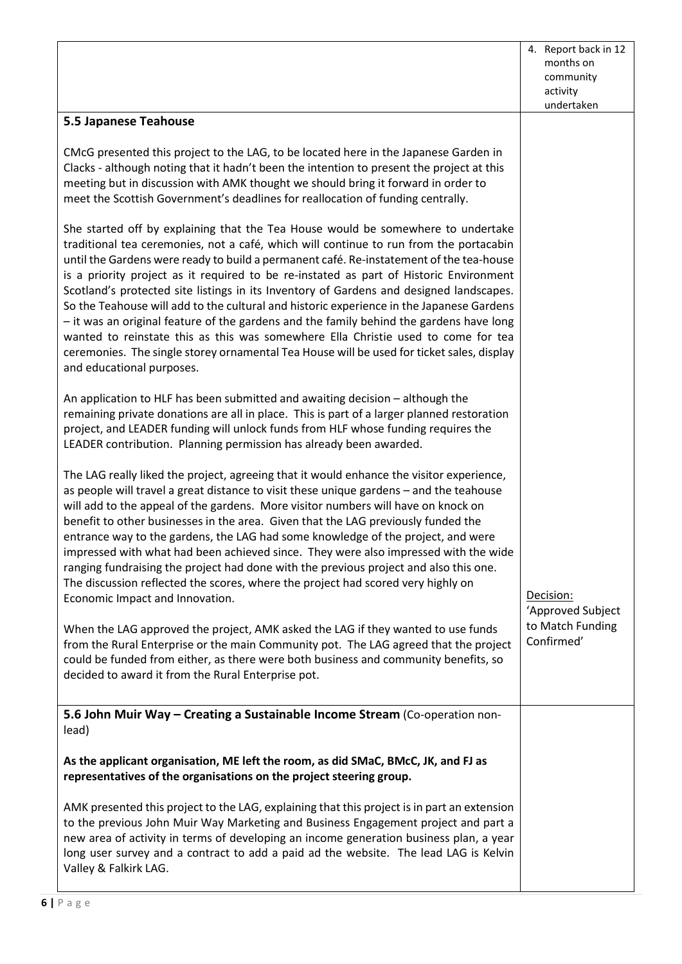|                                                                                                                                                                                                                                                                                                                                                                                                                                                                                                                                                                                                                                                                                                                                                                                                                                                                  | 4. Report back in 12<br>months on<br>community |
|------------------------------------------------------------------------------------------------------------------------------------------------------------------------------------------------------------------------------------------------------------------------------------------------------------------------------------------------------------------------------------------------------------------------------------------------------------------------------------------------------------------------------------------------------------------------------------------------------------------------------------------------------------------------------------------------------------------------------------------------------------------------------------------------------------------------------------------------------------------|------------------------------------------------|
|                                                                                                                                                                                                                                                                                                                                                                                                                                                                                                                                                                                                                                                                                                                                                                                                                                                                  | activity<br>undertaken                         |
| 5.5 Japanese Teahouse                                                                                                                                                                                                                                                                                                                                                                                                                                                                                                                                                                                                                                                                                                                                                                                                                                            |                                                |
| CMcG presented this project to the LAG, to be located here in the Japanese Garden in<br>Clacks - although noting that it hadn't been the intention to present the project at this<br>meeting but in discussion with AMK thought we should bring it forward in order to<br>meet the Scottish Government's deadlines for reallocation of funding centrally.                                                                                                                                                                                                                                                                                                                                                                                                                                                                                                        |                                                |
| She started off by explaining that the Tea House would be somewhere to undertake<br>traditional tea ceremonies, not a café, which will continue to run from the portacabin<br>until the Gardens were ready to build a permanent café. Re-instatement of the tea-house<br>is a priority project as it required to be re-instated as part of Historic Environment<br>Scotland's protected site listings in its Inventory of Gardens and designed landscapes.<br>So the Teahouse will add to the cultural and historic experience in the Japanese Gardens<br>- it was an original feature of the gardens and the family behind the gardens have long<br>wanted to reinstate this as this was somewhere Ella Christie used to come for tea<br>ceremonies. The single storey ornamental Tea House will be used for ticket sales, display<br>and educational purposes. |                                                |
| An application to HLF has been submitted and awaiting decision - although the<br>remaining private donations are all in place. This is part of a larger planned restoration<br>project, and LEADER funding will unlock funds from HLF whose funding requires the<br>LEADER contribution. Planning permission has already been awarded.                                                                                                                                                                                                                                                                                                                                                                                                                                                                                                                           |                                                |
| The LAG really liked the project, agreeing that it would enhance the visitor experience,<br>as people will travel a great distance to visit these unique gardens - and the teahouse<br>will add to the appeal of the gardens. More visitor numbers will have on knock on<br>benefit to other businesses in the area. Given that the LAG previously funded the<br>entrance way to the gardens, the LAG had some knowledge of the project, and were<br>impressed with what had been achieved since. They were also impressed with the wide<br>ranging fundraising the project had done with the previous project and also this one.<br>The discussion reflected the scores, where the project had scored very highly on<br>Economic Impact and Innovation.                                                                                                         | Decision:<br>'Approved Subject                 |
| When the LAG approved the project, AMK asked the LAG if they wanted to use funds<br>from the Rural Enterprise or the main Community pot. The LAG agreed that the project<br>could be funded from either, as there were both business and community benefits, so<br>decided to award it from the Rural Enterprise pot.                                                                                                                                                                                                                                                                                                                                                                                                                                                                                                                                            | to Match Funding<br>Confirmed'                 |
| 5.6 John Muir Way - Creating a Sustainable Income Stream (Co-operation non-<br>lead)                                                                                                                                                                                                                                                                                                                                                                                                                                                                                                                                                                                                                                                                                                                                                                             |                                                |
| As the applicant organisation, ME left the room, as did SMaC, BMcC, JK, and FJ as<br>representatives of the organisations on the project steering group.                                                                                                                                                                                                                                                                                                                                                                                                                                                                                                                                                                                                                                                                                                         |                                                |
| AMK presented this project to the LAG, explaining that this project is in part an extension<br>to the previous John Muir Way Marketing and Business Engagement project and part a<br>new area of activity in terms of developing an income generation business plan, a year<br>long user survey and a contract to add a paid ad the website. The lead LAG is Kelvin<br>Valley & Falkirk LAG.                                                                                                                                                                                                                                                                                                                                                                                                                                                                     |                                                |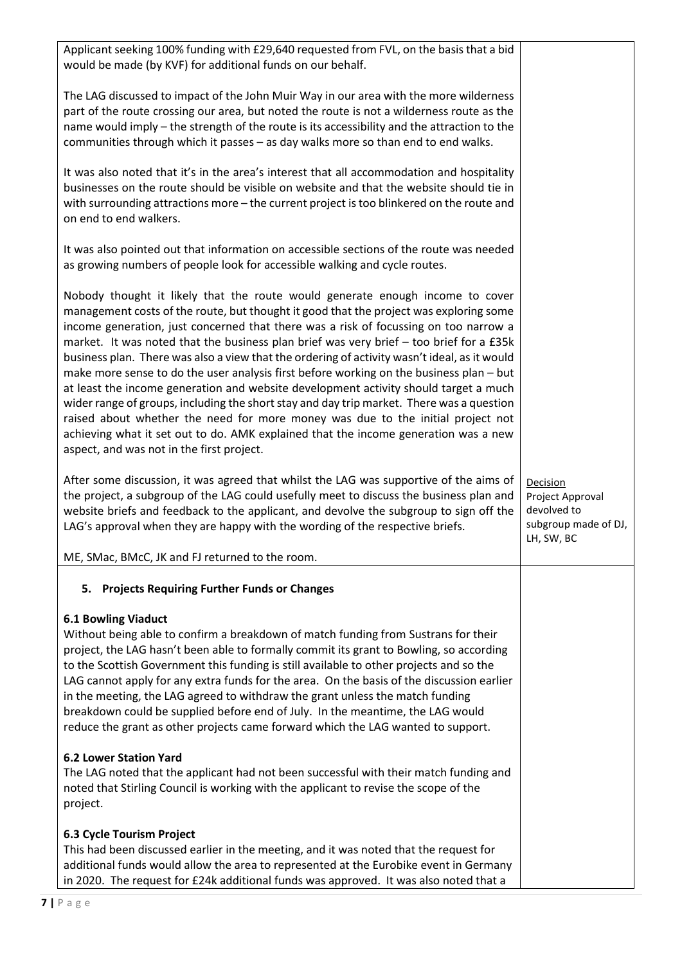| Applicant seeking 100% funding with £29,640 requested from FVL, on the basis that a bid<br>would be made (by KVF) for additional funds on our behalf.                                                                                                                                                                                                                                                                                                                                                                                                                                                                                                                                                                                                                                                                                                                                                                                                             |                                                                                   |
|-------------------------------------------------------------------------------------------------------------------------------------------------------------------------------------------------------------------------------------------------------------------------------------------------------------------------------------------------------------------------------------------------------------------------------------------------------------------------------------------------------------------------------------------------------------------------------------------------------------------------------------------------------------------------------------------------------------------------------------------------------------------------------------------------------------------------------------------------------------------------------------------------------------------------------------------------------------------|-----------------------------------------------------------------------------------|
| The LAG discussed to impact of the John Muir Way in our area with the more wilderness<br>part of the route crossing our area, but noted the route is not a wilderness route as the<br>name would imply - the strength of the route is its accessibility and the attraction to the<br>communities through which it passes - as day walks more so than end to end walks.                                                                                                                                                                                                                                                                                                                                                                                                                                                                                                                                                                                            |                                                                                   |
| It was also noted that it's in the area's interest that all accommodation and hospitality<br>businesses on the route should be visible on website and that the website should tie in<br>with surrounding attractions more - the current project is too blinkered on the route and<br>on end to end walkers.                                                                                                                                                                                                                                                                                                                                                                                                                                                                                                                                                                                                                                                       |                                                                                   |
| It was also pointed out that information on accessible sections of the route was needed<br>as growing numbers of people look for accessible walking and cycle routes.                                                                                                                                                                                                                                                                                                                                                                                                                                                                                                                                                                                                                                                                                                                                                                                             |                                                                                   |
| Nobody thought it likely that the route would generate enough income to cover<br>management costs of the route, but thought it good that the project was exploring some<br>income generation, just concerned that there was a risk of focussing on too narrow a<br>market. It was noted that the business plan brief was very brief - too brief for a £35k<br>business plan. There was also a view that the ordering of activity wasn't ideal, as it would<br>make more sense to do the user analysis first before working on the business plan - but<br>at least the income generation and website development activity should target a much<br>wider range of groups, including the short stay and day trip market. There was a question<br>raised about whether the need for more money was due to the initial project not<br>achieving what it set out to do. AMK explained that the income generation was a new<br>aspect, and was not in the first project. |                                                                                   |
| After some discussion, it was agreed that whilst the LAG was supportive of the aims of<br>the project, a subgroup of the LAG could usefully meet to discuss the business plan and<br>website briefs and feedback to the applicant, and devolve the subgroup to sign off the<br>LAG's approval when they are happy with the wording of the respective briefs.                                                                                                                                                                                                                                                                                                                                                                                                                                                                                                                                                                                                      | Decision<br>Project Approval<br>devolved to<br>subgroup made of DJ,<br>LH, SW, BC |
| ME, SMac, BMcC, JK and FJ returned to the room.                                                                                                                                                                                                                                                                                                                                                                                                                                                                                                                                                                                                                                                                                                                                                                                                                                                                                                                   |                                                                                   |
| 5. Projects Requiring Further Funds or Changes                                                                                                                                                                                                                                                                                                                                                                                                                                                                                                                                                                                                                                                                                                                                                                                                                                                                                                                    |                                                                                   |
| <b>6.1 Bowling Viaduct</b><br>Without being able to confirm a breakdown of match funding from Sustrans for their<br>project, the LAG hasn't been able to formally commit its grant to Bowling, so according<br>to the Scottish Government this funding is still available to other projects and so the<br>LAG cannot apply for any extra funds for the area. On the basis of the discussion earlier<br>in the meeting, the LAG agreed to withdraw the grant unless the match funding<br>breakdown could be supplied before end of July. In the meantime, the LAG would<br>reduce the grant as other projects came forward which the LAG wanted to support.                                                                                                                                                                                                                                                                                                        |                                                                                   |
| <b>6.2 Lower Station Yard</b><br>The LAG noted that the applicant had not been successful with their match funding and<br>noted that Stirling Council is working with the applicant to revise the scope of the<br>project.                                                                                                                                                                                                                                                                                                                                                                                                                                                                                                                                                                                                                                                                                                                                        |                                                                                   |
| 6.3 Cycle Tourism Project<br>This had been discussed earlier in the meeting, and it was noted that the request for<br>additional funds would allow the area to represented at the Eurobike event in Germany<br>in 2020. The request for £24k additional funds was approved. It was also noted that a                                                                                                                                                                                                                                                                                                                                                                                                                                                                                                                                                                                                                                                              |                                                                                   |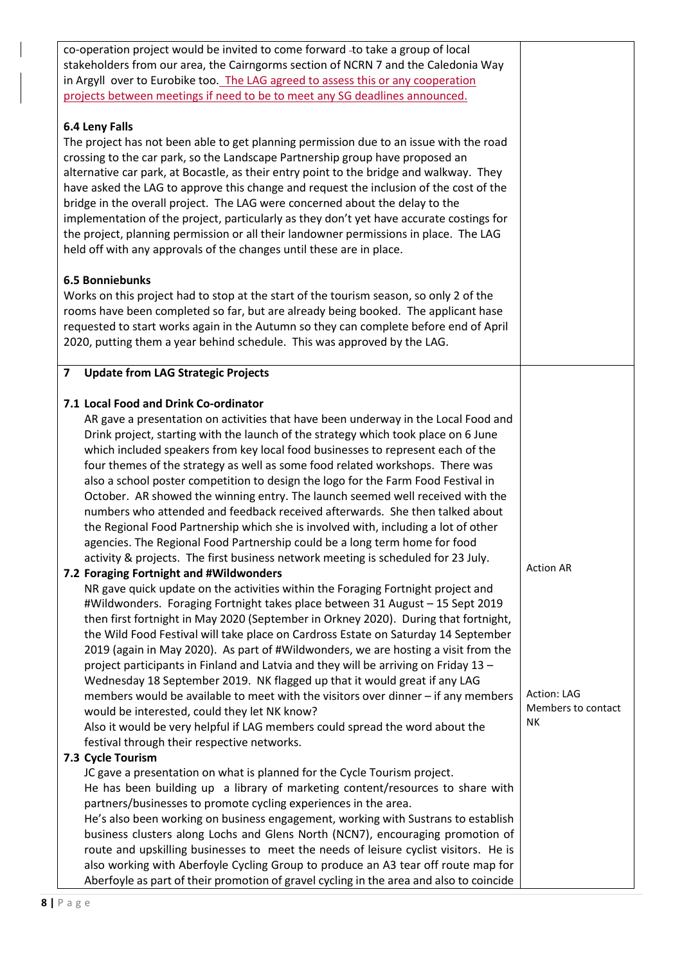| co-operation project would be invited to come forward -to take a group of local          |                    |
|------------------------------------------------------------------------------------------|--------------------|
| stakeholders from our area, the Cairngorms section of NCRN 7 and the Caledonia Way       |                    |
| in Argyll over to Eurobike too. The LAG agreed to assess this or any cooperation         |                    |
| projects between meetings if need to be to meet any SG deadlines announced.              |                    |
|                                                                                          |                    |
| 6.4 Leny Falls                                                                           |                    |
| The project has not been able to get planning permission due to an issue with the road   |                    |
| crossing to the car park, so the Landscape Partnership group have proposed an            |                    |
| alternative car park, at Bocastle, as their entry point to the bridge and walkway. They  |                    |
|                                                                                          |                    |
| have asked the LAG to approve this change and request the inclusion of the cost of the   |                    |
| bridge in the overall project. The LAG were concerned about the delay to the             |                    |
| implementation of the project, particularly as they don't yet have accurate costings for |                    |
| the project, planning permission or all their landowner permissions in place. The LAG    |                    |
| held off with any approvals of the changes until these are in place.                     |                    |
|                                                                                          |                    |
| <b>6.5 Bonniebunks</b>                                                                   |                    |
| Works on this project had to stop at the start of the tourism season, so only 2 of the   |                    |
| rooms have been completed so far, but are already being booked. The applicant hase       |                    |
|                                                                                          |                    |
| requested to start works again in the Autumn so they can complete before end of April    |                    |
| 2020, putting them a year behind schedule. This was approved by the LAG.                 |                    |
|                                                                                          |                    |
| <b>Update from LAG Strategic Projects</b><br>$\overline{\mathbf{z}}$                     |                    |
|                                                                                          |                    |
| 7.1 Local Food and Drink Co-ordinator                                                    |                    |
| AR gave a presentation on activities that have been underway in the Local Food and       |                    |
| Drink project, starting with the launch of the strategy which took place on 6 June       |                    |
|                                                                                          |                    |
| which included speakers from key local food businesses to represent each of the          |                    |
| four themes of the strategy as well as some food related workshops. There was            |                    |
| also a school poster competition to design the logo for the Farm Food Festival in        |                    |
| October. AR showed the winning entry. The launch seemed well received with the           |                    |
| numbers who attended and feedback received afterwards. She then talked about             |                    |
| the Regional Food Partnership which she is involved with, including a lot of other       |                    |
| agencies. The Regional Food Partnership could be a long term home for food               |                    |
| activity & projects. The first business network meeting is scheduled for 23 July.        |                    |
| 7.2 Foraging Fortnight and #Wildwonders                                                  | <b>Action AR</b>   |
| NR gave quick update on the activities within the Foraging Fortnight project and         |                    |
|                                                                                          |                    |
| #Wildwonders. Foraging Fortnight takes place between 31 August - 15 Sept 2019            |                    |
| then first fortnight in May 2020 (September in Orkney 2020). During that fortnight,      |                    |
| the Wild Food Festival will take place on Cardross Estate on Saturday 14 September       |                    |
| 2019 (again in May 2020). As part of #Wildwonders, we are hosting a visit from the       |                    |
| project participants in Finland and Latvia and they will be arriving on Friday 13 -      |                    |
| Wednesday 18 September 2019. NK flagged up that it would great if any LAG                |                    |
| members would be available to meet with the visitors over dinner - if any members        | Action: LAG        |
| would be interested, could they let NK know?                                             | Members to contact |
| Also it would be very helpful if LAG members could spread the word about the             | NΚ                 |
| festival through their respective networks.                                              |                    |
|                                                                                          |                    |
| 7.3 Cycle Tourism                                                                        |                    |
| JC gave a presentation on what is planned for the Cycle Tourism project.                 |                    |
| He has been building up a library of marketing content/resources to share with           |                    |
| partners/businesses to promote cycling experiences in the area.                          |                    |
| He's also been working on business engagement, working with Sustrans to establish        |                    |
| business clusters along Lochs and Glens North (NCN7), encouraging promotion of           |                    |
| route and upskilling businesses to meet the needs of leisure cyclist visitors. He is     |                    |
| also working with Aberfoyle Cycling Group to produce an A3 tear off route map for        |                    |
| Aberfoyle as part of their promotion of gravel cycling in the area and also to coincide  |                    |
|                                                                                          |                    |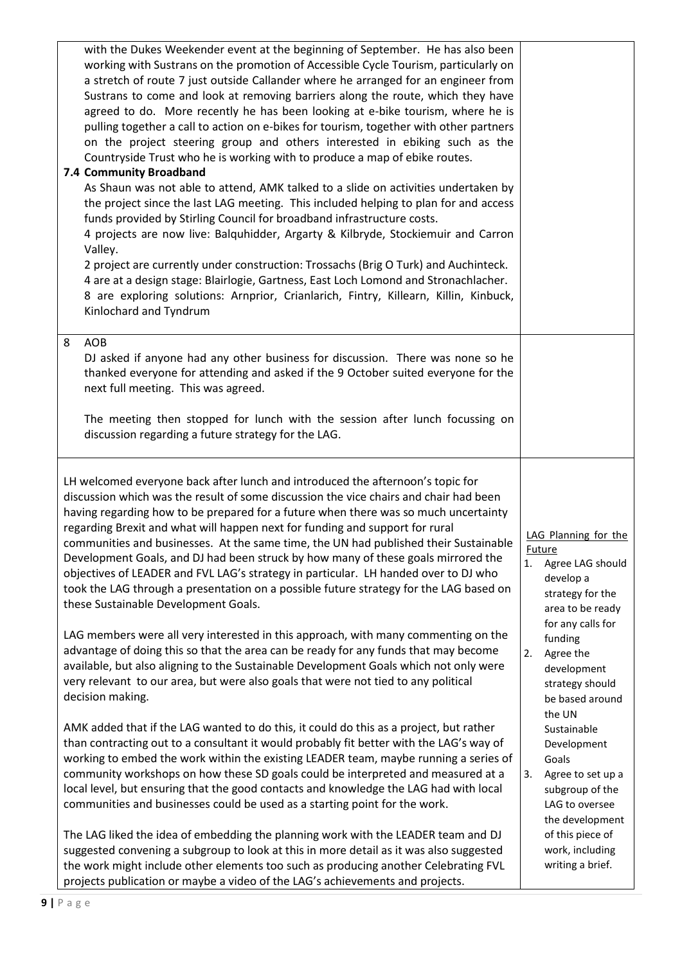| with the Dukes Weekender event at the beginning of September. He has also been<br>working with Sustrans on the promotion of Accessible Cycle Tourism, particularly on<br>a stretch of route 7 just outside Callander where he arranged for an engineer from<br>Sustrans to come and look at removing barriers along the route, which they have<br>agreed to do. More recently he has been looking at e-bike tourism, where he is<br>pulling together a call to action on e-bikes for tourism, together with other partners<br>on the project steering group and others interested in ebiking such as the<br>Countryside Trust who he is working with to produce a map of ebike routes.<br>7.4 Community Broadband<br>As Shaun was not able to attend, AMK talked to a slide on activities undertaken by<br>the project since the last LAG meeting. This included helping to plan for and access<br>funds provided by Stirling Council for broadband infrastructure costs.<br>4 projects are now live: Balquhidder, Argarty & Kilbryde, Stockiemuir and Carron<br>Valley.<br>2 project are currently under construction: Trossachs (Brig O Turk) and Auchinteck.<br>4 are at a design stage: Blairlogie, Gartness, East Loch Lomond and Stronachlacher.<br>8 are exploring solutions: Arnprior, Crianlarich, Fintry, Killearn, Killin, Kinbuck,<br>Kinlochard and Tyndrum                                                                                                                              |                                                                                                                                                                                                                                                                                                   |
|-------------------------------------------------------------------------------------------------------------------------------------------------------------------------------------------------------------------------------------------------------------------------------------------------------------------------------------------------------------------------------------------------------------------------------------------------------------------------------------------------------------------------------------------------------------------------------------------------------------------------------------------------------------------------------------------------------------------------------------------------------------------------------------------------------------------------------------------------------------------------------------------------------------------------------------------------------------------------------------------------------------------------------------------------------------------------------------------------------------------------------------------------------------------------------------------------------------------------------------------------------------------------------------------------------------------------------------------------------------------------------------------------------------------------------------------------------------------------------------------------------|---------------------------------------------------------------------------------------------------------------------------------------------------------------------------------------------------------------------------------------------------------------------------------------------------|
| AOB<br>8<br>DJ asked if anyone had any other business for discussion. There was none so he<br>thanked everyone for attending and asked if the 9 October suited everyone for the<br>next full meeting. This was agreed.<br>The meeting then stopped for lunch with the session after lunch focussing on<br>discussion regarding a future strategy for the LAG.                                                                                                                                                                                                                                                                                                                                                                                                                                                                                                                                                                                                                                                                                                                                                                                                                                                                                                                                                                                                                                                                                                                                         |                                                                                                                                                                                                                                                                                                   |
| LH welcomed everyone back after lunch and introduced the afternoon's topic for<br>discussion which was the result of some discussion the vice chairs and chair had been<br>having regarding how to be prepared for a future when there was so much uncertainty<br>regarding Brexit and what will happen next for funding and support for rural<br>communities and businesses. At the same time, the UN had published their Sustainable<br>Development Goals, and DJ had been struck by how many of these goals mirrored the<br>objectives of LEADER and FVL LAG's strategy in particular. LH handed over to DJ who<br>took the LAG through a presentation on a possible future strategy for the LAG based on<br>these Sustainable Development Goals.<br>LAG members were all very interested in this approach, with many commenting on the<br>advantage of doing this so that the area can be ready for any funds that may become<br>available, but also aligning to the Sustainable Development Goals which not only were<br>very relevant to our area, but were also goals that were not tied to any political<br>decision making.<br>AMK added that if the LAG wanted to do this, it could do this as a project, but rather<br>than contracting out to a consultant it would probably fit better with the LAG's way of<br>working to embed the work within the existing LEADER team, maybe running a series of<br>community workshops on how these SD goals could be interpreted and measured at a | LAG Planning for the<br>Future<br>Agree LAG should<br>1.<br>develop a<br>strategy for the<br>area to be ready<br>for any calls for<br>funding<br>Agree the<br>2.<br>development<br>strategy should<br>be based around<br>the UN<br>Sustainable<br>Development<br>Goals<br>3.<br>Agree to set up a |
| local level, but ensuring that the good contacts and knowledge the LAG had with local<br>communities and businesses could be used as a starting point for the work.<br>The LAG liked the idea of embedding the planning work with the LEADER team and DJ<br>suggested convening a subgroup to look at this in more detail as it was also suggested<br>the work might include other elements too such as producing another Celebrating FVL<br>projects publication or maybe a video of the LAG's achievements and projects.                                                                                                                                                                                                                                                                                                                                                                                                                                                                                                                                                                                                                                                                                                                                                                                                                                                                                                                                                                            | subgroup of the<br>LAG to oversee<br>the development<br>of this piece of<br>work, including<br>writing a brief.                                                                                                                                                                                   |